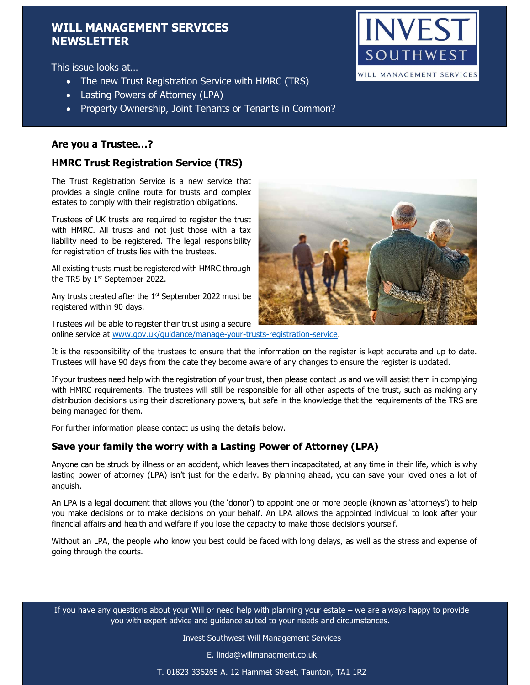# WILL MANAGEMENT SERVICES **NEWSLETTER**

This issue looks at…

- The new Trust Registration Service with HMRC (TRS)
- Lasting Powers of Attorney (LPA)
- Property Ownership, Joint Tenants or Tenants in Common?

## Are you a Trustee…?

## HMRC Trust Registration Service (TRS)

The Trust Registration Service is a new service that provides a single online route for trusts and complex estates to comply with their registration obligations.

Trustees of UK trusts are required to register the trust with HMRC. All trusts and not just those with a tax liability need to be registered. The legal responsibility for registration of trusts lies with the trustees.

All existing trusts must be registered with HMRC through the TRS by  $1<sup>st</sup>$  September 2022.

Any trusts created after the  $1<sup>st</sup>$  September 2022 must be registered within 90 days.

Trustees will be able to register their trust using a secure online service at www.gov.uk/guidance/manage-your-trusts-registration-service.

It is the responsibility of the trustees to ensure that the information on the register is kept accurate and up to date. Trustees will have 90 days from the date they become aware of any changes to ensure the register is updated.

If your trustees need help with the registration of your trust, then please contact us and we will assist them in complying with HMRC requirements. The trustees will still be responsible for all other aspects of the trust, such as making any distribution decisions using their discretionary powers, but safe in the knowledge that the requirements of the TRS are being managed for them.

For further information please contact us using the details below.

## Save your family the worry with a Lasting Power of Attorney (LPA)

Anyone can be struck by illness or an accident, which leaves them incapacitated, at any time in their life, which is why lasting power of attorney (LPA) isn't just for the elderly. By planning ahead, you can save your loved ones a lot of anguish.

An LPA is a legal document that allows you (the 'donor') to appoint one or more people (known as 'attorneys') to help you make decisions or to make decisions on your behalf. An LPA allows the appointed individual to look after your financial affairs and health and welfare if you lose the capacity to make those decisions yourself.

Without an LPA, the people who know you best could be faced with long delays, as well as the stress and expense of going through the courts.

If you have any questions about your Will or need help with planning your estate – we are always happy to provide you with expert advice and guidance suited to your needs and circumstances.

Invest Southwest Will Management Services

E. linda@willmanagment.co.uk

T. 01823 336265 A. 12 Hammet Street, Taunton, TA1 1RZ